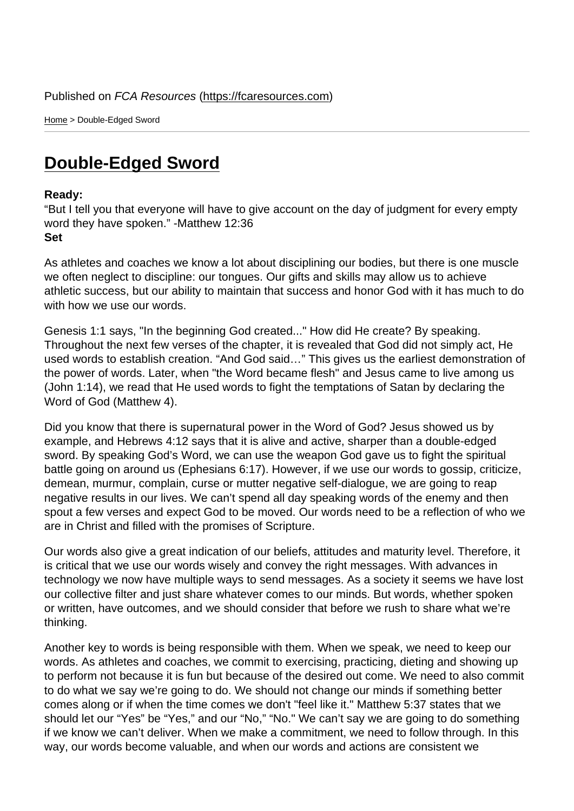Home > Double-Edged Sword

## [Dou](https://fcaresources.com/)ble-Edged Sword

Ready:

["But I tell you that everyone will ha](https://fcaresources.com/devotional/double-edged-sword)ve to give account on the day of judgment for every empty word they have spoken." -Matthew 12:36 Set

As athletes and coaches we know a lot about disciplining our bodies, but there is one muscle we often neglect to discipline: our tongues. Our gifts and skills may allow us to achieve athletic success, but our ability to maintain that success and honor God with it has much to do with how we use our words.

Genesis 1:1 says, "In the beginning God created..." How did He create? By speaking. Throughout the next few verses of the chapter, it is revealed that God did not simply act, He used words to establish creation. "And God said…" This gives us the earliest demonstration of the power of words. Later, when "the Word became flesh" and Jesus came to live among us (John 1:14), we read that He used words to fight the temptations of Satan by declaring the Word of God (Matthew 4).

Did you know that there is supernatural power in the Word of God? Jesus showed us by example, and Hebrews 4:12 says that it is alive and active, sharper than a double-edged sword. By speaking God's Word, we can use the weapon God gave us to fight the spiritual battle going on around us (Ephesians 6:17). However, if we use our words to gossip, criticize, demean, murmur, complain, curse or mutter negative self-dialogue, we are going to reap negative results in our lives. We can't spend all day speaking words of the enemy and then spout a few verses and expect God to be moved. Our words need to be a reflection of who we are in Christ and filled with the promises of Scripture.

Our words also give a great indication of our beliefs, attitudes and maturity level. Therefore, it is critical that we use our words wisely and convey the right messages. With advances in technology we now have multiple ways to send messages. As a society it seems we have lost our collective filter and just share whatever comes to our minds. But words, whether spoken or written, have outcomes, and we should consider that before we rush to share what we're thinking.

Another key to words is being responsible with them. When we speak, we need to keep our words. As athletes and coaches, we commit to exercising, practicing, dieting and showing up to perform not because it is fun but because of the desired out come. We need to also commit to do what we say we're going to do. We should not change our minds if something better comes along or if when the time comes we don't "feel like it." Matthew 5:37 states that we should let our "Yes" be "Yes," and our "No," "No." We can't say we are going to do something if we know we can't deliver. When we make a commitment, we need to follow through. In this way, our words become valuable, and when our words and actions are consistent we